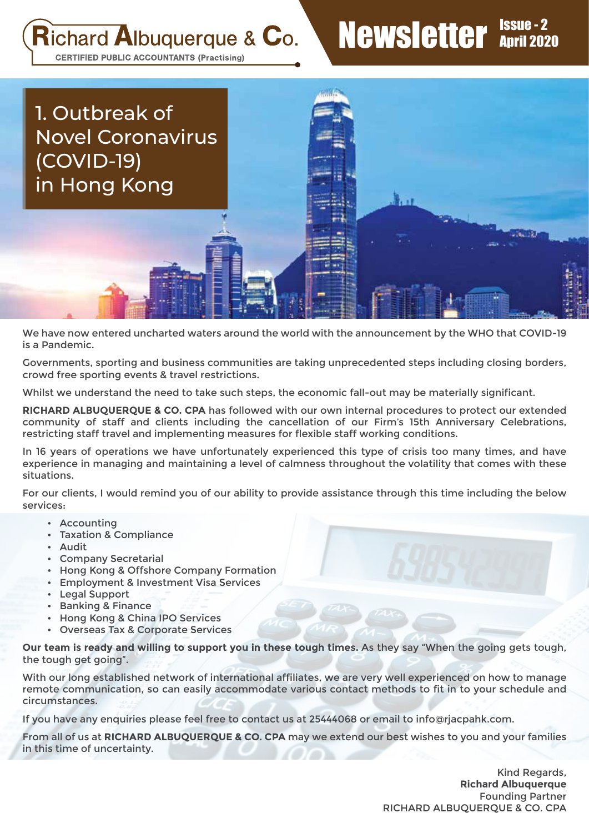## **Richard Albuquerque & Co.**

# Newsletter **Issue** - 2

**CERTIFIED PUBLIC ACCOUNTANTS (Practising)** 



We have now entered uncharted waters around the world with the announcement by the WHO that COVID-19 is a Pandemic.

Governments, sporting and business communities are taking unprecedented steps including closing borders, crowd free sporting events & travel restrictions.

Whilst we understand the need to take such steps, the economic fall-out may be materially significant.

**RICHARD ALBUQUERQUE & CO. CPA** has followed with our own internal procedures to protect our extended community of staff and clients including the cancellation of our Firm's 15th Anniversary Celebrations, restricting staff travel and implementing measures for flexible staff working conditions.

In 16 years of operations we have unfortunately experienced this type of crisis too many times, and have experience in managing and maintaining a level of calmness throughout the volatility that comes with these situations.

For our clients, I would remind you of our ability to provide assistance through this time including the below services:

- Accounting
- Taxation & Compliance
- Audit
- Company Secretarial
- Hong Kong & Offshore Company Formation
- Employment & Investment Visa Services
- Legal Support
- Banking & Finance
- Hong Kong & China IPO Services
- Overseas Tax & Corporate Services

**Our team is ready and willing to support you in these tough times.** As they say "When the going gets tough, the tough get going".

With our long established network of international affiliates, we are very well experienced on how to manage remote communication, so can easily accommodate various contact methods to fit in to your schedule and circumstances.

If you have any enquiries please feel free to contact us at 25444068 or email to info@rjacpahk.com.

From all of us at **RICHARD ALBUQUERQUE & CO. CPA** may we extend our best wishes to you and your families in this time of uncertainty.

> Kind Regards, **Richard Albuquerque** Founding Partner RICHARD ALBUQUERQUE & CO. CPA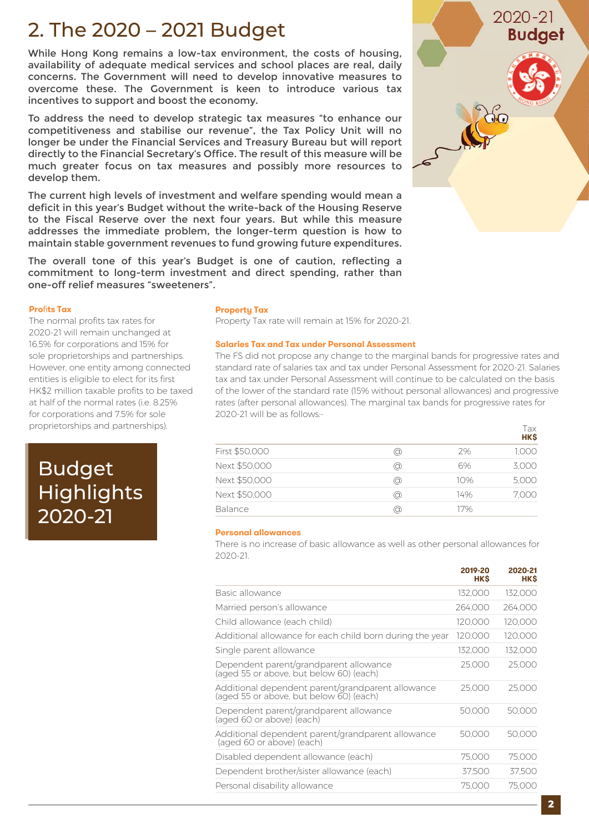### 2. The 2020 – 2021 Budget

While Hong Kong remains a low-tax environment, the costs of housing, availability of adequate medical services and school places are real, daily concerns. The Government will need to develop innovative measures to overcome these. The Government is keen to introduce various tax incentives to support and boost the economy.

To address the need to develop strategic tax measures "to enhance our competitiveness and stabilise our revenue", the Tax Policy Unit will no longer be under the Financial Services and Treasury Bureau but will report directly to the Financial Secretary's Office. The result of this measure will be much greater focus on tax measures and possibly more resources to develop them.

The current high levels of investment and welfare spending would mean a deficit in this year's Budget without the write-back of the Housing Reserve to the Fiscal Reserve over the next four years. But while this measure addresses the immediate problem, the longer-term question is how to maintain stable government revenues to fund growing future expenditures.

The overall tone of this year's Budget is one of caution, reflecting a commitment to long-term investment and direct spending, rather than one-off relief measures "sweeteners".

### **Pro**fi**ts Tax**

The normal profits tax rates for 2020-21 will remain unchanged at 16.5% for corporations and 15% for sole proprietorships and partnerships. However, one entity among connected entities is eligible to elect for its first HK\$2 million taxable profits to be taxed at half of the normal rates (i.e. 8.25% for corporations and 7.5% for sole proprietorships and partnerships).

### Budget **Highlights** 2020-21

### **Property Tax**

Property Tax rate will remain at 15% for 2020-21.

#### **Salaries Tax and Tax under Personal Assessment**

The FS did not propose any change to the marginal bands for progressive rates and standard rate of salaries tax and tax under Personal Assessment for 2020-21. Salaries tax and tax under Personal Assessment will continue to be calculated on the basis of the lower of the standard rate (15% without personal allowances) and progressive rates (after personal allowances). The marginal tax bands for progressive rates for 2020-21 will be as follows:-

|                |    |     | Tax<br><b>HK\$</b> |
|----------------|----|-----|--------------------|
| First \$50,000 | ⊚  | 7%  | 1.000              |
| Next \$50,000  | ⊚  | 6%  | 3.000              |
| Next \$50,000  | ⊚  | 10% | 5,000              |
| Next \$50,000  | ⊚  | 14% | 7,000              |
| <b>Balance</b> | @) | 17% |                    |

#### **Personal allowances**

There is no increase of basic allowance as well as other personal allowances for 2020-21.

|                                                                                              | <b>HKS</b> | <b>HK\$</b> |
|----------------------------------------------------------------------------------------------|------------|-------------|
| Basic allowance                                                                              | 132.000    | 132,000     |
| Married person's allowance                                                                   | 264,000    | 264,000     |
| Child allowance (each child)                                                                 | 120,000    | 120,000     |
| Additional allowance for each child born during the year                                     | 120,000    | 120,000     |
| Single parent allowance                                                                      | 132,000    | 132,000     |
| Dependent parent/grandparent allowance<br>(aged 55 or above, but below 60) (each)            | 25,000     | 25,000      |
| Additional dependent parent/grandparent allowance<br>(aged 55 or above, but below 60) (each) | 25.000     | 25,000      |
| Dependent parent/grandparent allowance<br>(aged 60 or above) (each)                          | 50,000     | 50,000      |
| Additional dependent parent/grandparent allowance<br>(aged 60 or above) (each)               | 50,000     | 50,000      |
| Disabled dependent allowance (each)                                                          | 75,000     | 75,000      |
| Dependent brother/sister allowance (each)                                                    | 37,500     | 37,500      |
| Personal disability allowance                                                                | 75,000     | 75,000      |



**2020-21**

**2019-20**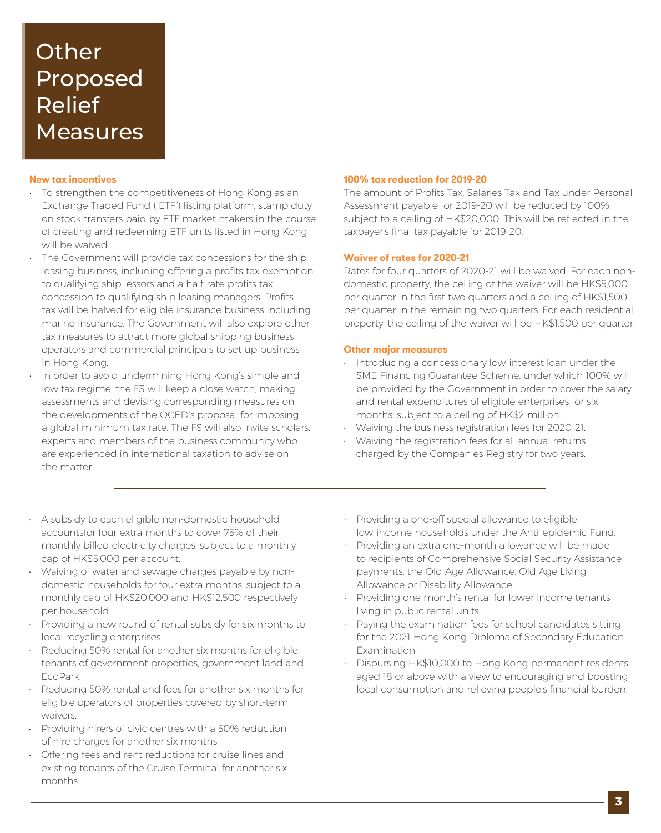### **Other** Proposed Relief Measures

### **New tax incentives**

- To strengthen the competitiveness of Hong Kong as an Exchange Traded Fund ("ETF") listing platform, stamp duty on stock transfers paid by ETF market makers in the course of creating and redeeming ETF units listed in Hong Kong will be waived.
- The Government will provide tax concessions for the ship leasing business, including offering a profits tax exemption to qualifying ship lessors and a half-rate profits tax concession to qualifying ship leasing managers. Profits tax will be halved for eligible insurance business including marine insurance. The Government will also explore other tax measures to attract more global shipping business operators and commercial principals to set up business in Hong Kong.
- In order to avoid undermining Hong Kong's simple and low tax regime, the FS will keep a close watch, making assessments and devising corresponding measures on the developments of the OCED's proposal for imposing a global minimum tax rate. The FS will also invite scholars, experts and members of the business community who are experienced in international taxation to advise on the matter.

#### **100% tax reduction for 2019-20**

The amount of Profits Tax, Salaries Tax and Tax under Personal Assessment payable for 2019-20 will be reduced by 100%, subject to a ceiling of HK\$20,000. This will be reflected in the taxpayer's final tax payable for 2019-20.

### **Waiver of rates for 2020-21**

Rates for four quarters of 2020-21 will be waived. For each nondomestic property, the ceiling of the waiver will be HK\$5,000 per quarter in the first two quarters and a ceiling of HK\$1,500 per quarter in the remaining two quarters. For each residential property, the ceiling of the waiver will be HK\$1,500 per quarter.

### **Other major measures**

- Introducing a concessionary low-interest loan under the SME Financing Guarantee Scheme, under which 100% will be provided by the Government in order to cover the salary and rental expenditures of eligible enterprises for six months, subject to a ceiling of HK\$2 million.
- Waiving the business registration fees for 2020-21.
- Waiving the registration fees for all annual returns charged by the Companies Registry for two years.
- A subsidy to each eligible non-domestic household accountsfor four extra months to cover 75% of their monthly billed electricity charges, subject to a monthly cap of HK\$5,000 per account.
- Waiving of water and sewage charges payable by nondomestic households for four extra months, subject to a monthly cap of HK\$20,000 and HK\$12,500 respectively per household.
- Providing a new round of rental subsidy for six months to local recycling enterprises.
- Reducing 50% rental for another six months for eligible tenants of government properties, government land and EcoPark.
- Reducing 50% rental and fees for another six months for eligible operators of properties covered by short-term waivers.
- Providing hirers of civic centres with a 50% reduction of hire charges for another six months.
- Offering fees and rent reductions for cruise lines and existing tenants of the Cruise Terminal for another six months.
- Providing a one-off special allowance to eligible low-income households under the Anti-epidemic Fund.
- Providing an extra one-month allowance will be made to recipients of Comprehensive Social Security Assistance payments, the Old Age Allowance, Old Age Living Allowance or Disability Allowance.
- Providing one month's rental for lower income tenants living in public rental units.
- Paying the examination fees for school candidates sitting for the 2021 Hong Kong Diploma of Secondary Education Examination.
- Disbursing HK\$10,000 to Hong Kong permanent residents aged 18 or above with a view to encouraging and boosting local consumption and relieving people's financial burden.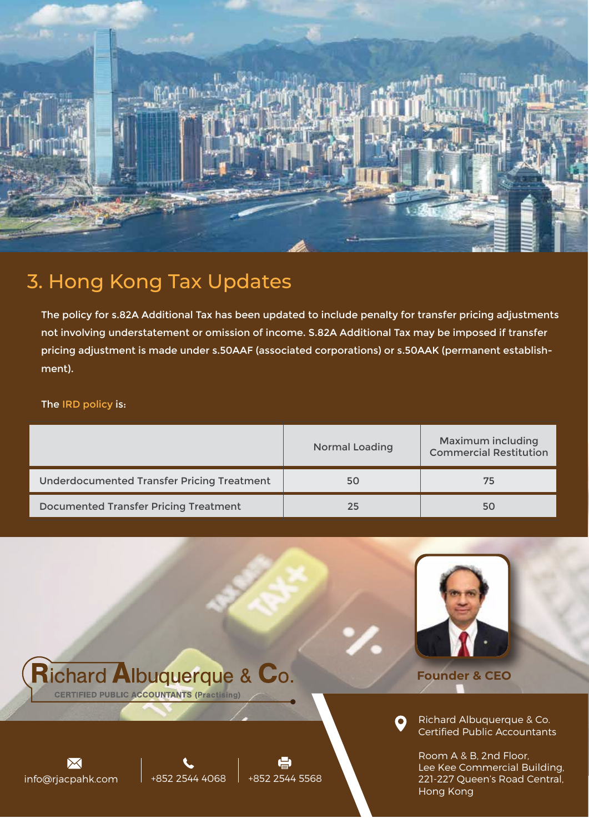

### 3. Hong Kong Tax Updates

 $in$ fo@rjacpahk.com  $\left| +852\right| 2544\left| 4068 \right| +852\left| 2544\right| 5568$ 

**Richard Albuquerque & Co.** 

**CERTIFIED PUBLIC ACCOUNTANTS (Practising)** 

The policy for s.82A Additional Tax has been updated to include penalty for transfer pricing adjustments not involving understatement or omission of income. S.82A Additional Tax may be imposed if transfer pricing adjustment is made under s.50AAF (associated corporations) or s.50AAK (permanent establishment).

### The IRD policy is:

 $\overline{\Join}$ 

|                                                   | <b>Normal Loading</b> | <b>Maximum including</b><br><b>Commercial Restitution</b> |
|---------------------------------------------------|-----------------------|-----------------------------------------------------------|
| <b>Underdocumented Transfer Pricing Treatment</b> | 50                    | 75                                                        |
| <b>Documented Transfer Pricing Treatment</b>      | 25                    | 50                                                        |



**Founder & CEO** 

Richard Albuquerque & Co. Certified Public Accountants

Room A & B, 2nd Floor, Lee Kee Commercial Building, 221-227 Queen's Road Central, Hong Kong